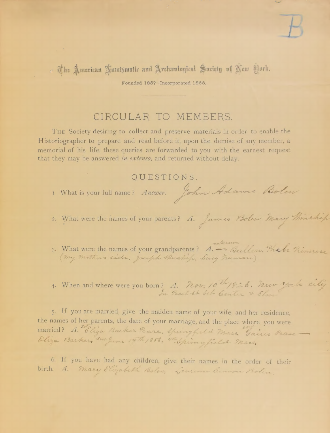

Ane American Numismatic and Archaeological Society of New Dork.

Founded 1857-Incorporated 1865.

## CIRCULAR TO MEMBERS.

THE Society desiring to collect and preserve materials in order to enable the Historiographer to prepare and read before it, upon the demise of any member, a memorial of his life, these queries are forwarded to you with the earnest request that they may be answered in extenso, and returned without delay.

OUESTIONS.

 $\epsilon$  ,  $\epsilon$ 

I What is your full name? Answer. John Adams Bolen

2. What were the names of your parents? A. James Bolen. Mary Minship

- 3. What were the names of your grandparents? A. Bullen. The be Rimrose
- 4. When and where were you born? A. Nov. 10th 1826. new york city

5. If you are married, give the maiden name of your wife, and her residence, the names of her parents, the date of your marriage, and the place where you were married? A. Eliza Barker Peare, Springfield Mass. Gains Peace Eliza Barker 3rd June 19th 1856, 4th Spring field Mass,

6. If you have had any children, give their names in the order of their birth. A. Mary Elizabeth Bolen, Samence Conven Bolen.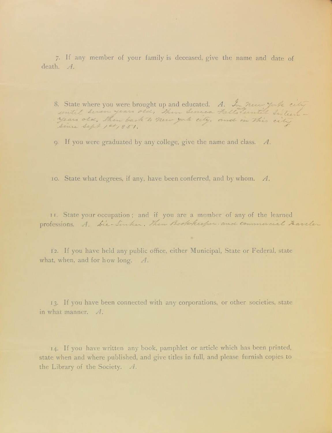7. If any member of your family is deceased, give the name and date of death. A.

8. State where you were brought up and educated. A. In new york city Since Sept 1et, 851.

9. If you were graduated by any college, give the name and class.  $A$ .

10. State what degrees, if any, have been conferred, and by whom. A.

11. State your occupation; and if you are a member of any of the learned professions. A. Sie-Sinker, Then Book-keeper and commercial Faveler

12. If you have held any public office, either Municipal, State or Federal, state what, when, and for how long.  $A$ .

13. If you have been connected with any corporations, or other societies, state in what manner.  $A$ .

14. If you have written any book, pamphlet or article which has been printed, state when and where published, and give titles in full, and please furnish copies to the Library of the Society. A.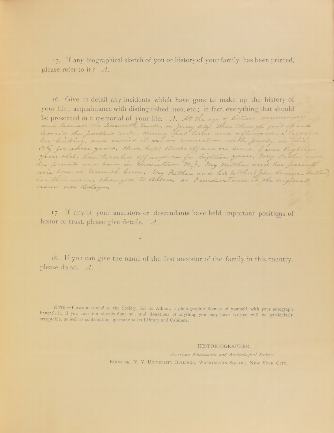15. If any biographical sketch of you or history of your family has been printed, please refer to it? A.

16. Give in detail any incidents which have gone to make up the history of your life; acquaintance with distinguished men, etc.; in fact, everything that should be presented in a memorial of your life. A. At the age of sixteen commenced and learned the Linsmeth trade, in Jusy City. Then through quit it and Die-Sinking, and carried it on in connection with Jewelr, in this ate for some years, Have kept Books off and on since I was Eighteen years old. have traveled off and on for Sighteen years, my Father and his parents were born in mountown n.g. my mother and her parents were born in norwich born. My Father and his brother John Binner Bullen had their name changed to Bolen, as I understand it the original name was Boleyn,

17. If any of your ancestors or descendants have held important positions of honor or trust, please give details. A.

 $\overline{a}$ 

18. If you can give the name of the first ancestor of the family in this country, please do so. A.

NOTE.-Please also send to the Society, for its Album, a photographic likeness of yourself, with your autograph beneath it, if you have not already done so; and donations of anything you may have written will be particularly acceptable, as well as contributions germane to its Library and Cabinets.

## HISTORIOGRAPHER.

American Numismatic and Archaeological Society, ROOM 25, N. Y. UNIVERSITY BUILDING, WASHINGTON SQUARE, NEW YORK CITY.